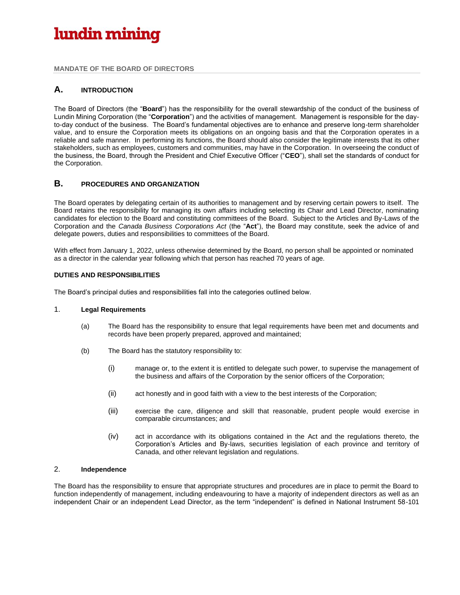**MANDATE OF THE BOARD OF DIRECTORS**

### **A. INTRODUCTION**

The Board of Directors (the "**Board**") has the responsibility for the overall stewardship of the conduct of the business of Lundin Mining Corporation (the "**Corporation**") and the activities of management. Management is responsible for the dayto-day conduct of the business. The Board's fundamental objectives are to enhance and preserve long-term shareholder value, and to ensure the Corporation meets its obligations on an ongoing basis and that the Corporation operates in a reliable and safe manner. In performing its functions, the Board should also consider the legitimate interests that its other stakeholders, such as employees, customers and communities, may have in the Corporation. In overseeing the conduct of the business, the Board, through the President and Chief Executive Officer ("**CEO**"), shall set the standards of conduct for the Corporation.

### **B. PROCEDURES AND ORGANIZATION**

The Board operates by delegating certain of its authorities to management and by reserving certain powers to itself. The Board retains the responsibility for managing its own affairs including selecting its Chair and Lead Director, nominating candidates for election to the Board and constituting committees of the Board. Subject to the Articles and By-Laws of the Corporation and the *Canada Business Corporations Act* (the "**Act**"), the Board may constitute, seek the advice of and delegate powers, duties and responsibilities to committees of the Board.

With effect from January 1, 2022, unless otherwise determined by the Board, no person shall be appointed or nominated as a director in the calendar year following which that person has reached 70 years of age.

#### **DUTIES AND RESPONSIBILITIES**

The Board's principal duties and responsibilities fall into the categories outlined below.

#### 1. **Legal Requirements**

- (a) The Board has the responsibility to ensure that legal requirements have been met and documents and records have been properly prepared, approved and maintained;
- (b) The Board has the statutory responsibility to:
	- (i) manage or, to the extent it is entitled to delegate such power, to supervise the management of the business and affairs of the Corporation by the senior officers of the Corporation;
	- (ii) act honestly and in good faith with a view to the best interests of the Corporation;
	- (iii) exercise the care, diligence and skill that reasonable, prudent people would exercise in comparable circumstances; and
	- (iv) act in accordance with its obligations contained in the Act and the regulations thereto, the Corporation's Articles and By-laws, securities legislation of each province and territory of Canada, and other relevant legislation and regulations.

### 2. **Independence**

The Board has the responsibility to ensure that appropriate structures and procedures are in place to permit the Board to function independently of management, including endeavouring to have a majority of independent directors as well as an independent Chair or an independent Lead Director, as the term "independent" is defined in National Instrument 58-101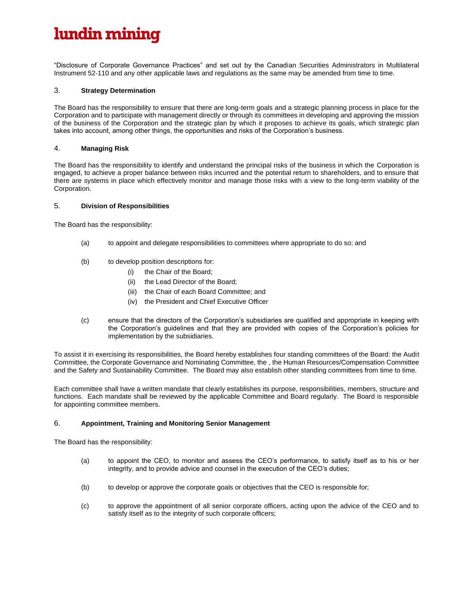"Disclosure of Corporate Governance Practices" and set out by the Canadian Securities Administrators in Multilateral Instrument 52-110 and any other applicable laws and regulations as the same may be amended from time to time.

#### 3. **Strategy Determination**

The Board has the responsibility to ensure that there are long-term goals and a strategic planning process in place for the Corporation and to participate with management directly or through its committees in developing and approving the mission of the business of the Corporation and the strategic plan by which it proposes to achieve its goals, which strategic plan takes into account, among other things, the opportunities and risks of the Corporation's business.

#### 4. **Managing Risk**

The Board has the responsibility to identify and understand the principal risks of the business in which the Corporation is engaged, to achieve a proper balance between risks incurred and the potential return to shareholders, and to ensure that there are systems in place which effectively monitor and manage those risks with a view to the long-term viability of the Corporation.

#### 5. **Division of Responsibilities**

The Board has the responsibility:

- (a) to appoint and delegate responsibilities to committees where appropriate to do so; and
- (b) to develop position descriptions for:
	- (i) the Chair of the Board;
	- (ii) the Lead Director of the Board;
	- (iii) the Chair of each Board Committee; and
	- (iv) the President and Chief Executive Officer
- (c) ensure that the directors of the Corporation's subsidiaries are qualified and appropriate in keeping with the Corporation's guidelines and that they are provided with copies of the Corporation's policies for implementation by the subsidiaries.

To assist it in exercising its responsibilities, the Board hereby establishes four standing committees of the Board: the Audit Committee, the Corporate Governance and Nominating Committee, the , the Human Resources/Compensation Committee and the Safety and Sustainability Committee. The Board may also establish other standing committees from time to time.

Each committee shall have a written mandate that clearly establishes its purpose, responsibilities, members, structure and functions. Each mandate shall be reviewed by the applicable Committee and Board regularly. The Board is responsible for appointing committee members.

#### 6. **Appointment, Training and Monitoring Senior Management**

The Board has the responsibility:

- (a) to appoint the CEO, to monitor and assess the CEO's performance, to satisfy itself as to his or her integrity, and to provide advice and counsel in the execution of the CEO's duties;
- (b) to develop or approve the corporate goals or objectives that the CEO is responsible for;
- (c) to approve the appointment of all senior corporate officers, acting upon the advice of the CEO and to satisfy itself as to the integrity of such corporate officers;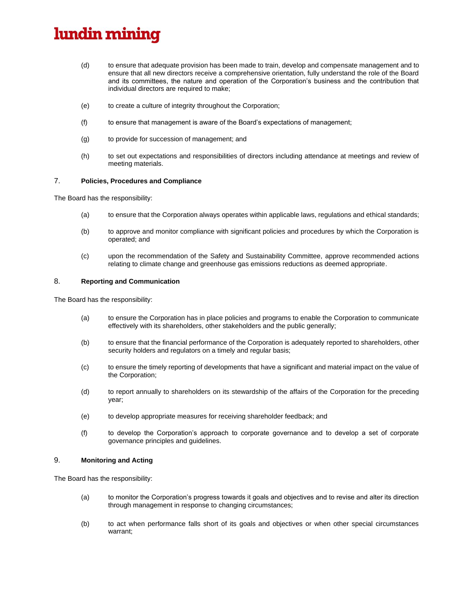- (d) to ensure that adequate provision has been made to train, develop and compensate management and to ensure that all new directors receive a comprehensive orientation, fully understand the role of the Board and its committees, the nature and operation of the Corporation's business and the contribution that individual directors are required to make;
- (e) to create a culture of integrity throughout the Corporation;
- (f) to ensure that management is aware of the Board's expectations of management;
- (g) to provide for succession of management; and
- (h) to set out expectations and responsibilities of directors including attendance at meetings and review of meeting materials.

#### 7. **Policies, Procedures and Compliance**

The Board has the responsibility:

- (a) to ensure that the Corporation always operates within applicable laws, regulations and ethical standards;
- (b) to approve and monitor compliance with significant policies and procedures by which the Corporation is operated; and
- (c) upon the recommendation of the Safety and Sustainability Committee, approve recommended actions relating to climate change and greenhouse gas emissions reductions as deemed appropriate.

#### 8. **Reporting and Communication**

The Board has the responsibility:

- (a) to ensure the Corporation has in place policies and programs to enable the Corporation to communicate effectively with its shareholders, other stakeholders and the public generally;
- (b) to ensure that the financial performance of the Corporation is adequately reported to shareholders, other security holders and regulators on a timely and regular basis;
- (c) to ensure the timely reporting of developments that have a significant and material impact on the value of the Corporation;
- (d) to report annually to shareholders on its stewardship of the affairs of the Corporation for the preceding year;
- (e) to develop appropriate measures for receiving shareholder feedback; and
- (f) to develop the Corporation's approach to corporate governance and to develop a set of corporate governance principles and guidelines.

#### 9. **Monitoring and Acting**

The Board has the responsibility:

- (a) to monitor the Corporation's progress towards it goals and objectives and to revise and alter its direction through management in response to changing circumstances;
- (b) to act when performance falls short of its goals and objectives or when other special circumstances warrant;